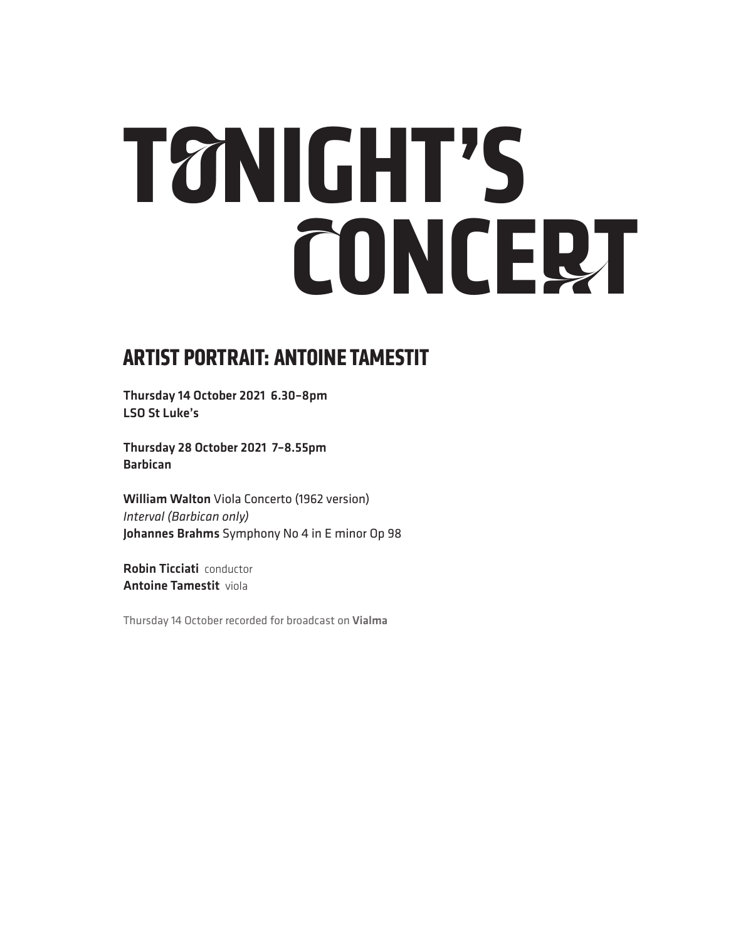# **TONIGHT'S CONCERT**

## **ARTIST PORTRAIT: ANTOINE TAMESTIT**

Thursday 14 October 2021 6.30–8pm LSO St Luke's

Thursday 28 October 2021 7–8.55pm Barbican

William Walton Viola Concerto (1962 version) *Interval (Barbican only)* Johannes Brahms Symphony No 4 in E minor Op 98

Robin Ticciati conductor Antoine Tamestit viola

Thursday 14 October recorded for broadcast on Vialma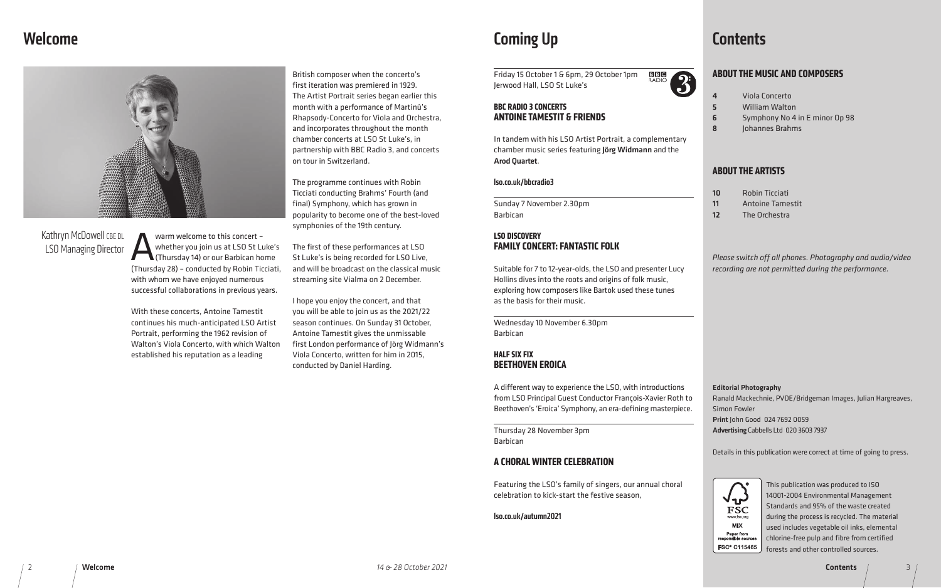## Welcome



British composer when the concerto's first iteration was premiered in 1929. The Artist Portrait series began earlier this month with a performance of Martinů's Rhapsody-Concerto for Viola and Orchestra, and incorporates throughout the month chamber concerts at LSO St Luke's, in partnership with BBC Radio 3, and concerts on tour in Switzerland.

The programme continues with Robin Ticciati conducting Brahms' Fourth (and final) Symphony, which has grown in popularity to become one of the best-loved symphonies of the 19th century.

Warm welcome to this concert –<br>whether you join us at LSO St Lu<br>(Thursday 14) or our Barbican ho<br>(Thursday 28) – conducted by Pohin Tis whether you join us at LSO St Luke's (Thursday 14) or our Barbican home (Thursday 28) – conducted by Robin Ticciati, with whom we have enjoyed numerous successful collaborations in previous years.

The first of these performances at LSO St Luke's is being recorded for LSO Live, and will be broadcast on the classical music streaming site Vialma on 2 December.

## Kathryn McDowell CBE DL LSO Managing Director

BBIG 3 Friday 15 October 1 & 6pm, 29 October 1pm Jerwood Hall, LSO St Luke's

I hope you enjoy the concert, and that you will be able to join us as the 2021/22 season continues. On Sunday 31 October, Antoine Tamestit gives the unmissable first London performance of Jörg Widmann's Viola Concerto, written for him in 2015, conducted by Daniel Harding.

With these concerts, Antoine Tamestit continues his much-anticipated LSO Artist Portrait, performing the 1962 revision of Walton's Viola Concerto, with which Walton established his reputation as a leading

## Coming Up

#### **BBC RADIO 3 CONCERTS ANTOINE TAMESTIT & FRIENDS**

In tandem with his LSO Artist Portrait, a complementary chamber music series featuring Jörg Widmann and the Arod Quartet.

#### lso.co.uk/bbcradio3

Sunday 7 November 2.30pm Barbican

#### **LSO DISCOVERY FAMILY CONCERT: FANTASTIC FOLK**

Suitable for 7 to 12-year-olds, the LSO and presenter Lucy Hollins dives into the roots and origins of folk music, exploring how composers like Bartok used these tunes as the basis for their music.

Wednesday 10 November 6.30pm Barbican

#### **HALF SIX FIX BEETHOVEN EROICA**

A different way to experience the LSO, with introductions from LSO Principal Guest Conductor François-Xavier Roth to Beethoven's 'Eroica' Symphony, an era-defining masterpiece.

Thursday 28 November 3pm Barbican

#### **A CHORAL WINTER CELEBRATION**

Featuring the LSO's family of singers, our annual choral celebration to kick-start the festive season,

lso.co.uk/autumn2021

## **Contents**

### **ABOUT THE MUSIC AND COMPOSERS**

| 10 | R  |
|----|----|
| 11 | A  |
| 12 | TI |

4 Viola Concerto 5 William Walton 6 Symphony No 4 in E minor Op 98

8 Johannes Brahms

### **ABOUT THE ARTISTS**

obin Ticciati 11 Antoine Tamestit he Orchestra

*Please switch off all phones. Photography and audio/video recording are not permitted during the performance.*

> This publication was produced to ISO 14001-2004 Environmental Management Standards and 95% of the waste created during the process is recycled. The material used includes vegetable oil inks, elemental chlorine-free pulp and fibre from certified forests and other controlled sources.

> > Contents / 3

#### Editorial Photography

Ranald Mackechnie, PVDE/Bridgeman Images, Julian Hargreaves,

Simon Fowler

Print John Good 024 7692 0059

Advertising Cabbells Ltd 020 3603 7937



Details in this publication were correct at time of going to press.

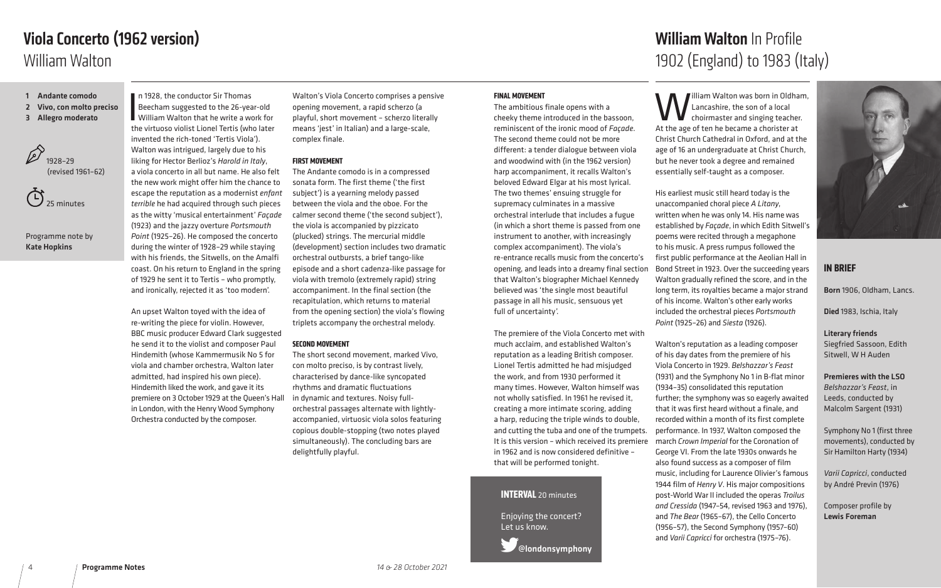#### **IN BRIEF**

Born 1906, Oldham, Lancs.

Died 1983, Ischia, Italy

Literary friends Siegfried Sassoon, Edith Sitwell, W H Auden

Premieres with the LSO *Belshazzar's Feast*, in Leeds, conducted by Malcolm Sargent (1931)

Symphony No 1 (first three movements), conducted by Sir Hamilton Harty (1934)

*Varii Capricci*, conducted by André Previn (1976)

Composer profile by Lewis Foreman

In 1928, the conductor Sir Thomas<br>Beecham suggested to the 26-year-old<br>William Walton that he write a work for<br>the virtuoso violist Lionel Tertis (who later n 1928, the conductor Sir Thomas Beecham suggested to the 26-year-old William Walton that he write a work for invented the rich-toned 'Tertis Viola'). Walton was intrigued, largely due to his liking for Hector Berlioz's *Harold in Italy*, a viola concerto in all but name. He also felt the new work might offer him the chance to escape the reputation as a modernist *enfant terrible* he had acquired through such pieces as the witty 'musical entertainment' *Façade* (1923) and the jazzy overture *Portsmouth Point* (1925–26). He composed the concerto during the winter of 1928–29 while staying with his friends, the Sitwells, on the Amalfi coast. On his return to England in the spring of 1929 he sent it to Tertis – who promptly, and ironically, rejected it as 'too modern'.

An upset Walton toyed with the idea of re-writing the piece for violin. However, BBC music producer Edward Clark suggested he send it to the violist and composer Paul Hindemith (whose Kammermusik No 5 for viola and chamber orchestra, Walton later admitted, had inspired his own piece). Hindemith liked the work, and gave it its premiere on 3 October 1929 at the Queen's Hall in London, with the Henry Wood Symphony Orchestra conducted by the composer.

 $\mathbb{C}$ 25 minutes Walton's Viola Concerto comprises a pensive opening movement, a rapid scherzo (a playful, short movement – scherzo literally means 'jest' in Italian) and a large-scale, complex finale.

#### **FIRST MOVEMENT**

The Andante comodo is in a compressed sonata form. The first theme ('the first subject') is a yearning melody passed between the viola and the oboe. For the calmer second theme ('the second subject'), the viola is accompanied by pizzicato (plucked) strings. The mercurial middle (development) section includes two dramatic orchestral outbursts, a brief tango-like episode and a short cadenza-like passage for viola with tremolo (extremely rapid) string accompaniment. In the final section (the recapitulation, which returns to material from the opening section) the viola's flowing triplets accompany the orchestral melody.

illiam Walton was born in Oldham, Lancashire, the son of a local choirmaster and singing teacher. At the age of ten he became a chorister at Christ Church Cathedral in Oxford, and at the age of 16 an undergraduate at Christ Church, but he never took a degree and remained essentially self-taught as a composer.

#### **SECOND MOVEMENT**

The short second movement, marked Vivo, con molto preciso, is by contrast lively, characterised by dance-like syncopated rhythms and dramatic fluctuations in dynamic and textures. Noisy fullorchestral passages alternate with lightlyaccompanied, virtuosic viola solos featuring copious double-stopping (two notes played simultaneously). The concluding bars are delightfully playful.

- 1 Andante comodo
- 2 Vivo, con molto preciso
- 3 Allegro moderato



Programme note by Kate Hopkins

## William Walton Viola Concerto (1962 version)



#### **FINAL MOVEMENT**

The ambitious finale opens with a cheeky theme introduced in the bassoon, reminiscent of the ironic mood of *Façade*. The second theme could not be more different: a tender dialogue between viola and woodwind with (in the 1962 version) harp accompaniment, it recalls Walton's beloved Edward Elgar at his most lyrical. The two themes' ensuing struggle for supremacy culminates in a massive orchestral interlude that includes a fugue (in which a short theme is passed from one instrument to another, with increasingly complex accompaniment). The viola's re-entrance recalls music from the concerto's opening, and leads into a dreamy final section that Walton's biographer Michael Kennedy believed was 'the single most beautiful passage in all his music, sensuous yet full of uncertainty'.

The premiere of the Viola Concerto met with much acclaim, and established Walton's reputation as a leading British composer. Lionel Tertis admitted he had misjudged the work, and from 1930 performed it many times. However, Walton himself was not wholly satisfied. In 1961 he revised it, creating a more intimate scoring, adding a harp, reducing the triple winds to double, and cutting the tuba and one of the trumpets. It is this version – which received its premiere in 1962 and is now considered definitive – that will be performed tonight.

His earliest music still heard today is the unaccompanied choral piece *A Litany*, written when he was only 14. His name was established by *Façade*, in which Edith Sitwell's poems were recited through a megaphone to his music. A press rumpus followed the first public performance at the Aeolian Hall in Bond Street in 1923. Over the succeeding years Walton gradually refined the score, and in the long term, its royalties became a major strand of his income. Walton's other early works included the orchestral pieces *Portsmouth Point* (1925–26) and *Siesta* (1926).

Walton's reputation as a leading composer of his day dates from the premiere of his Viola Concerto in 1929. *Belshazzar's Feast*  (1931) and the Symphony No 1 in B-flat minor (1934–35) consolidated this reputation further; the symphony was so eagerly awaited that it was first heard without a finale, and recorded within a month of its first complete performance. In 1937, Walton composed the march *Crown Imperial* for the Coronation of George VI. From the late 1930s onwards he also found success as a composer of film music, including for Laurence Olivier's famous 1944 film of *Henry V*. His major compositions post-World War II included the operas *Troilus and Cressida* (1947–54, revised 1963 and 1976), and *The Bear* (1965–67), the Cello Concerto (1956–57), the Second Symphony (1957–60) and *Varii Capricci* for orchestra (1975–76).

#### **INTERVAL** 20 minutes

Enjoying the concert? Let us know.

@londonsymphony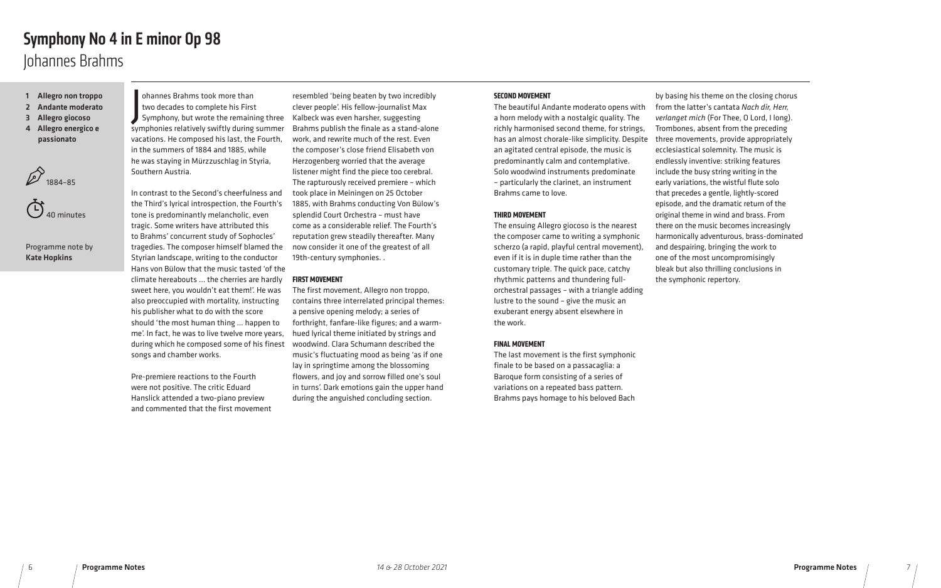ohannes Brahms took more than<br>two decades to complete his First<br>Symphony, but wrote the remaining three ohannes Brahms took more than two decades to complete his First symphonies relatively swiftly during summer vacations. He composed his last, the Fourth, in the summers of 1884 and 1885, while he was staying in Mürzzuschlag in Styria, Southern Austria.

In contrast to the Second's cheerfulness and the Third's lyrical introspection, the Fourth's tone is predominantly melancholic, even tragic. Some writers have attributed this to Brahms' concurrent study of Sophocles' tragedies. The composer himself blamed the Styrian landscape, writing to the conductor Hans von Bülow that the music tasted 'of the climate hereabouts … the cherries are hardly sweet here, you wouldn't eat them!'. He was also preoccupied with mortality, instructing his publisher what to do with the score should 'the most human thing … happen to me'. In fact, he was to live twelve more years, during which he composed some of his finest songs and chamber works.

Pre-premiere reactions to the Fourth were not positive. The critic Eduard Hanslick attended a two-piano preview and commented that the first movement

resembled 'being beaten by two incredibly clever people'. His fellow-journalist Max Kalbeck was even harsher, suggesting Brahms publish the finale as a stand-alone work, and rewrite much of the rest. Even the composer's close friend Elisabeth von Herzogenberg worried that the average listener might find the piece too cerebral. The rapturously received premiere – which took place in Meiningen on 25 October 1885, with Brahms conducting Von Bülow's splendid Court Orchestra – must have come as a considerable relief. The Fourth's reputation grew steadily thereafter. Many now consider it one of the greatest of all 19th-century symphonies. .

#### **FIRST MOVEMENT**

The first movement, Allegro non troppo, contains three interrelated principal themes: a pensive opening melody; a series of forthright, fanfare-like figures; and a warmhued lyrical theme initiated by strings and woodwind. Clara Schumann described the music's fluctuating mood as being 'as if one lay in springtime among the blossoming flowers, and joy and sorrow filled one's soul in turns'. Dark emotions gain the upper hand during the anguished concluding section.

- 1 Allegro non troppo
- 2 Andante moderato
- 3 Allegro giocoso
- 4 Allegro energico e passionato

 $21884-85$ 



Programme note by Kate Hopkins

#### **SECOND MOVEMENT**

The beautiful Andante moderato opens with a horn melody with a nostalgic quality. The richly harmonised second theme, for strings, has an almost chorale-like simplicity. Despite an agitated central episode, the music is predominantly calm and contemplative. Solo woodwind instruments predominate – particularly the clarinet, an instrument Brahms came to love.

#### **THIRD MOVEMENT**

The ensuing Allegro giocoso is the nearest the composer came to writing a symphonic scherzo (a rapid, playful central movement), even if it is in duple time rather than the customary triple. The quick pace, catchy rhythmic patterns and thundering fullorchestral passages – with a triangle adding lustre to the sound – give the music an exuberant energy absent elsewhere in the work.

#### **FINAL MOVEMENT**

The last movement is the first symphonic finale to be based on a passacaglia: a Baroque form consisting of a series of variations on a repeated bass pattern. Brahms pays homage to his beloved Bach

by basing his theme on the closing chorus from the latter's cantata *Nach dir, Herr, verlanget mich* (For Thee, O Lord, I long). Trombones, absent from the preceding three movements, provide appropriately ecclesiastical solemnity. The music is endlessly inventive: striking features include the busy string writing in the early variations, the wistful flute solo that precedes a gentle, lightly-scored episode, and the dramatic return of the original theme in wind and brass. From there on the music becomes increasingly harmonically adventurous, brass-dominated and despairing, bringing the work to one of the most uncompromisingly bleak but also thrilling conclusions in the symphonic repertory.

## Johannes Brahms Symphony No 4 in E minor Op 98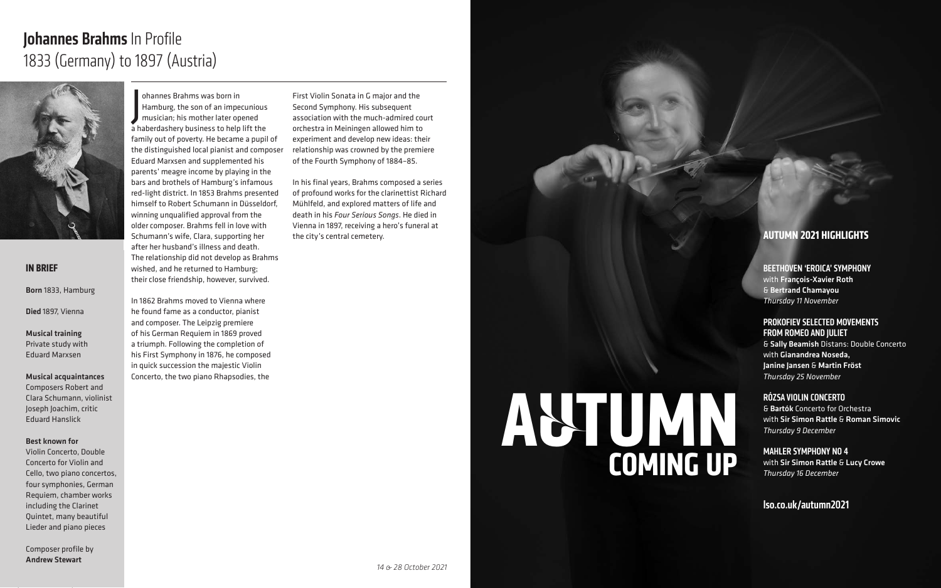J ohannes Brahms was born in Hamburg, the son of an impecunious musician; his mother later opened a haberdashery business to help lift the family out of poverty. He became a pupil of the distinguished local pianist and composer Eduard Marxsen and supplemented his parents' meagre income by playing in the bars and brothels of Hamburg's infamous red-light district. In 1853 Brahms presented himself to Robert Schumann in Düsseldorf, winning unqualified approval from the older composer. Brahms fell in love with Schumann's wife, Clara, supporting her after her husband's illness and death. The relationship did not develop as Brahms wished, and he returned to Hamburg; their close friendship, however, survived.

# Johannes Brahms In Profile 1833 (Germany) to 1897 (Austria)



In 1862 Brahms moved to Vienna where he found fame as a conductor, pianist and composer. The Leipzig premiere of his German Requiem in 1869 proved a triumph. Following the completion of his First Symphony in 1876, he composed in quick succession the majestic Violin Concerto, the two piano Rhapsodies, the

First Violin Sonata in G major and the Second Symphony. His subsequent association with the much-admired court orchestra in Meiningen allowed him to experiment and develop new ideas: their relationship was crowned by the premiere of the Fourth Symphony of 1884–85.

# **AUTUMN COMING UP**

In his final years, Brahms composed a series of profound works for the clarinettist Richard Mühlfeld, and explored matters of life and death in his *Four Serious Songs*. He died in Vienna in 1897, receiving a hero's funeral at the city's central cemetery.

#### **IN BRIEF**

Born 1833, Hamburg

Died 1897, Vienna

Musical training Private study with Eduard Marxsen

Musical acquaintances

Composers Robert and Clara Schumann, violinist Joseph Joachim, critic Eduard Hanslick

#### Best known for

Violin Concerto, Double Concerto for Violin and Cello, two piano concertos, four symphonies, German Requiem, chamber works including the Clarinet Quintet, many beautiful Lieder and piano pieces

Composer profile by Andrew Stewart

### **AUTUMN 2021 HIGHLIGHTS**

BEETHOVEN 'EROICA' SYMPHONY with François-Xavier Roth & Bertrand Chamayou *Thursday 11 November*

#### PROKOFIEV SELECTED MOVEMENTS FROM ROMEO AND JULIET

& Sally Beamish Distans: Double Concerto with Gianandrea Noseda, Janine Jansen & Martin Fröst *Thursday 25 November*

#### RÓZSA VIOLIN CONCERTO

& Bartók Concerto for Orchestra with Sir Simon Rattle & Roman Simovic *Thursday 9 December*

MAHLER SYMPHONY NO 4 with Sir Simon Rattle & Lucy Crowe *Thursday 16 December*

#### lso.co.uk/autumn2021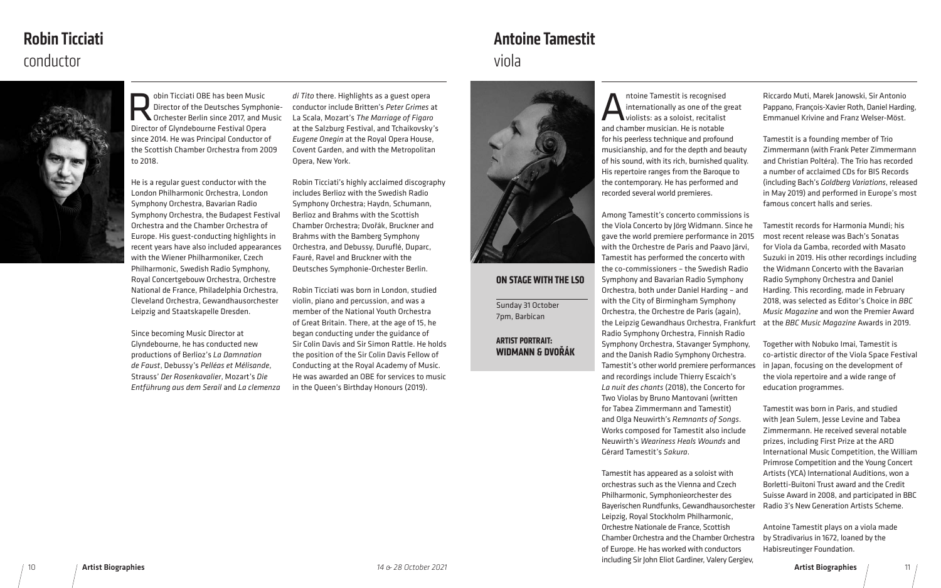Obin Ticciati OBE has been Music<br>Director of the Deutsches Symphone<br>Director of Clyndebourne Festival Opera Director of the Deutsches Symphonie-Orchester Berlin since 2017, and Music Director of Glyndebourne Festival Opera since 2014. He was Principal Conductor of the Scottish Chamber Orchestra from 2009 to 2018.

He is a regular guest conductor with the London Philharmonic Orchestra, London Symphony Orchestra, Bavarian Radio Symphony Orchestra, the Budapest Festival Orchestra and the Chamber Orchestra of Europe. His guest-conducting highlights in recent years have also included appearances with the Wiener Philharmoniker, Czech Philharmonic, Swedish Radio Symphony, Royal Concertgebouw Orchestra, Orchestre National de France, Philadelphia Orchestra, Cleveland Orchestra, Gewandhausorchester Leipzig and Staatskapelle Dresden.

Since becoming Music Director at Glyndebourne, he has conducted new productions of Berlioz's *La Damnation de Faust*, Debussy's *Pelléas et Mélisande*, Strauss' *Der Rosenkavalier*, Mozart's *Die Entführung aus dem Serail* and *La clemenza* 

*di Tito* there. Highlights as a guest opera conductor include Britten's *Peter Grimes* at La Scala, Mozart's *The Marriage of Figaro*  at the Salzburg Festival, and Tchaikovsky's *Eugene Onegin* at the Royal Opera House, Covent Garden, and with the Metropolitan Opera, New York.

ntoine Tamestit is recognised internationally as one of the great violists: as a soloist, recitalist and chamber musician. He is notable for his peerless technique and profound musicianship, and for the depth and beauty of his sound, with its rich, burnished quality. His repertoire ranges from the Baroque to the contemporary. He has performed and recorded several world premieres.

Robin Ticciati's highly acclaimed discography includes Berlioz with the Swedish Radio Symphony Orchestra; Haydn, Schumann, Berlioz and Brahms with the Scottish Chamber Orchestra; Dvořák, Bruckner and Brahms with the Bamberg Symphony Orchestra, and Debussy, Duruflé, Duparc, Fauré, Ravel and Bruckner with the Deutsches Symphonie-Orchester Berlin.

Robin Ticciati was born in London, studied violin, piano and percussion, and was a member of the National Youth Orchestra of Great Britain. There, at the age of 15, he began conducting under the guidance of Sir Colin Davis and Sir Simon Rattle. He holds the position of the Sir Colin Davis Fellow of Conducting at the Royal Academy of Music. He was awarded an OBE for services to music in the Queen's Birthday Honours (2019).



# conductor Robin Ticciati

Leipzig, Royal Stockholm Philharmonic, Orchestre Nationale de France, Scottish Chamber Orchestra and the Chamber Orchestra of Europe. He has worked with conductors including Sir John Eliot Gardiner, Valery Gergiev,

Riccardo Muti, Marek Janowski, Sir Antonio Pappano, François-Xavier Roth, Daniel Harding, Emmanuel Krivine and Franz Welser-Möst.

Among Tamestit's concerto commissions is the Viola Concerto by Jörg Widmann. Since he gave the world premiere performance in 2015 with the Orchestre de Paris and Paavo Järvi, Tamestit has performed the concerto with the co-commissioners – the Swedish Radio Symphony and Bavarian Radio Symphony Orchestra, both under Daniel Harding – and with the City of Birmingham Symphony Orchestra, the Orchestre de Paris (again), the Leipzig Gewandhaus Orchestra, Frankfurt Radio Symphony Orchestra, Finnish Radio Symphony Orchestra, Stavanger Symphony, and the Danish Radio Symphony Orchestra. Tamestit's other world premiere performances and recordings include Thierry Escaich's *La nuit des chants* (2018), the Concerto for Two Violas by Bruno Mantovani (written for Tabea Zimmermann and Tamestit) and Olga Neuwirth's *Remnants of Songs*. Works composed for Tamestit also include Neuwirth's *Weariness Heals Wounds* and Gérard Tamestit's *Sakura*. Tamestit has appeared as a soloist with orchestras such as the Vienna and Czech Philharmonic, Symphonieorchester des Bayerischen Rundfunks, Gewandhausorchester Tamestit records for Harmonia Mundi; his most recent release was Bach's Sonatas for Viola da Gamba, recorded with Masato Suzuki in 2019. His other recordings including the Widmann Concerto with the Bavarian Radio Symphony Orchestra and Daniel Harding. This recording, made in February 2018, was selected as Editor's Choice in *BBC Music Magazine* and won the Premier Award at the *BBC Music Magazine* Awards in 2019. Together with Nobuko Imai, Tamestit is co-artistic director of the Viola Space Festival in Japan, focusing on the development of the viola repertoire and a wide range of education programmes. Tamestit was born in Paris, and studied with Jean Sulem, Jesse Levine and Tabea Zimmermann. He received several notable prizes, including First Prize at the ARD International Music Competition, the William Primrose Competition and the Young Concert Artists (YCA) International Auditions, won a Borletti-Buitoni Trust award and the Credit Suisse Award in 2008, and participated in BBC Radio 3's New Generation Artists Scheme.

Tamestit is a founding member of Trio Zimmermann (with Frank Peter Zimmermann and Christian Poltéra). The Trio has recorded a number of acclaimed CDs for BIS Records (including Bach's *Goldberg Variations*, released in May 2019) and performed in Europe's most famous concert halls and series.

Antoine Tamestit plays on a viola made by Stradivarius in 1672, loaned by the Habisreutinger Foundation.

#### **ON STAGE WITH THE LSO**

Sunday 31 October 7pm, Barbican

#### **ARTIST PORTRAIT: WIDMANN & DVOŘÁK**

## viola Antoine Tamestit